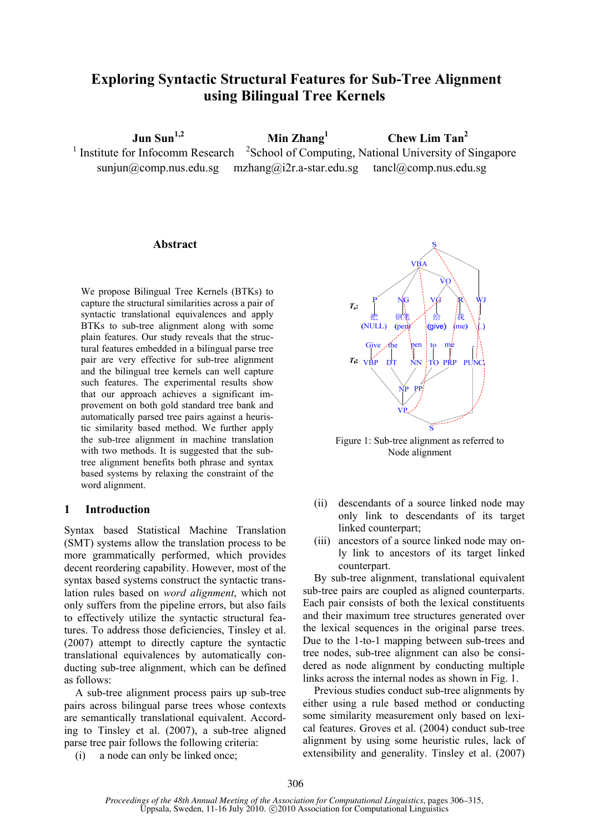# **Exploring Syntactic Structural Features for Sub-Tree Alignment using Bilingual Tree Kernels**

 **Jun Sun<sup>1,2</sup> Min Zhang**<sup>1</sup>

 **Chew Lim Tan2**

 $1$  Institute for Infocomm Research  $2$ <sup>2</sup>School of Computing, National University of Singapore sunjun@comp.nus.edu.sg mzhang@i2r.a-star.edu.sg tancl@comp.nus.edu.sg

### **Abstract**

We propose Bilingual Tree Kernels (BTKs) to capture the structural similarities across a pair of syntactic translational equivalences and apply BTKs to sub-tree alignment along with some plain features. Our study reveals that the structural features embedded in a bilingual parse tree pair are very effective for sub-tree alignment and the bilingual tree kernels can well capture such features. The experimental results show that our approach achieves a significant improvement on both gold standard tree bank and automatically parsed tree pairs against a heuristic similarity based method. We further apply the sub-tree alignment in machine translation with two methods. It is suggested that the subtree alignment benefits both phrase and syntax based systems by relaxing the constraint of the word alignment.

### **1 Introduction**

Syntax based Statistical Machine Translation (SMT) systems allow the translation process to be more grammatically performed, which provides decent reordering capability. However, most of the syntax based systems construct the syntactic translation rules based on *word alignment*, which not only suffers from the pipeline errors, but also fails to effectively utilize the syntactic structural features. To address those deficiencies, Tinsley et al. (2007) attempt to directly capture the syntactic translational equivalences by automatically conducting sub-tree alignment, which can be defined as follows:

A sub-tree alignment process pairs up sub-tree pairs across bilingual parse trees whose contexts are semantically translational equivalent. According to Tinsley et al. (2007), a sub-tree aligned parse tree pair follows the following criteria:

(i) a node can only be linked once;



Figure 1: Sub-tree alignment as referred to Node alignment

- (ii) descendants of a source linked node may only link to descendants of its target linked counterpart;
- (iii) ancestors of a source linked node may only link to ancestors of its target linked counterpart.

By sub-tree alignment, translational equivalent sub-tree pairs are coupled as aligned counterparts. Each pair consists of both the lexical constituents and their maximum tree structures generated over the lexical sequences in the original parse trees. Due to the 1-to-1 mapping between sub-trees and tree nodes, sub-tree alignment can also be considered as node alignment by conducting multiple links across the internal nodes as shown in Fig. 1.

Previous studies conduct sub-tree alignments by either using a rule based method or conducting some similarity measurement only based on lexical features. Groves et al. (2004) conduct sub-tree alignment by using some heuristic rules, lack of extensibility and generality. Tinsley et al. (2007)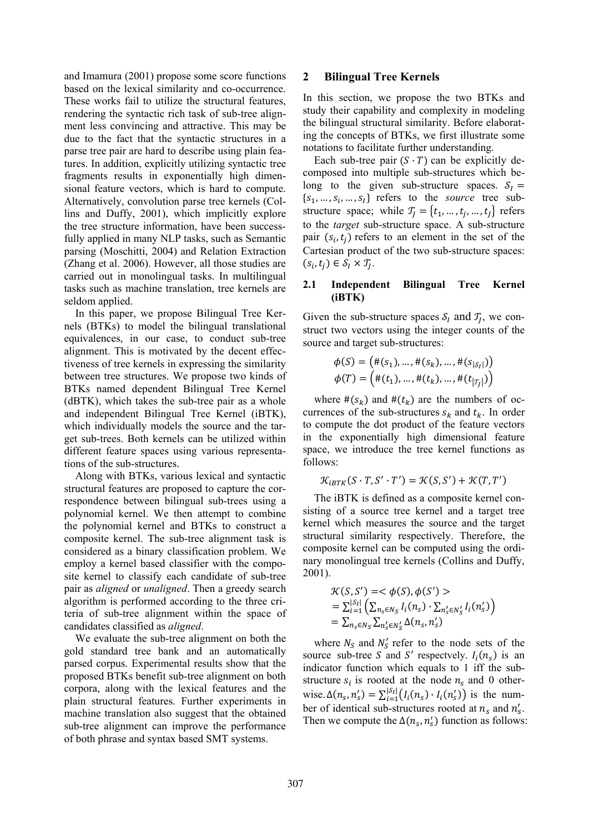and Imamura (2001) propose some score functions based on the lexical similarity and co-occurrence. These works fail to utilize the structural features, rendering the syntactic rich task of sub-tree alignment less convincing and attractive. This may be due to the fact that the syntactic structures in a parse tree pair are hard to describe using plain features. In addition, explicitly utilizing syntactic tree fragments results in exponentially high dimensional feature vectors, which is hard to compute. Alternatively, convolution parse tree kernels (Collins and Duffy, 2001), which implicitly explore the tree structure information, have been successfully applied in many NLP tasks, such as Semantic parsing (Moschitti, 2004) and Relation Extraction (Zhang et al. 2006). However, all those studies are carried out in monolingual tasks. In multilingual tasks such as machine translation, tree kernels are seldom applied.

In this paper, we propose Bilingual Tree Kernels (BTKs) to model the bilingual translational equivalences, in our case, to conduct sub-tree alignment. This is motivated by the decent effectiveness of tree kernels in expressing the similarity between tree structures. We propose two kinds of BTKs named dependent Bilingual Tree Kernel (dBTK), which takes the sub-tree pair as a whole and independent Bilingual Tree Kernel (iBTK), which individually models the source and the target sub-trees. Both kernels can be utilized within different feature spaces using various representations of the sub-structures.

Along with BTKs, various lexical and syntactic structural features are proposed to capture the correspondence between bilingual sub-trees using a polynomial kernel. We then attempt to combine the polynomial kernel and BTKs to construct a composite kernel. The sub-tree alignment task is considered as a binary classification problem. We employ a kernel based classifier with the composite kernel to classify each candidate of sub-tree pair as *aligned* or *unaligned*. Then a greedy search algorithm is performed according to the three criteria of sub-tree alignment within the space of candidates classified as *aligned*.

We evaluate the sub-tree alignment on both the gold standard tree bank and an automatically parsed corpus. Experimental results show that the proposed BTKs benefit sub-tree alignment on both corpora, along with the lexical features and the plain structural features. Further experiments in machine translation also suggest that the obtained sub-tree alignment can improve the performance of both phrase and syntax based SMT systems.

### **2 Bilingual Tree Kernels**

In this section, we propose the two BTKs and study their capability and complexity in modeling the bilingual structural similarity. Before elaborating the concepts of BTKs, we first illustrate some notations to facilitate further understanding.

Each sub-tree pair  $(S \cdot T)$  can be explicitly decomposed into multiple sub-structures which belong to the given sub-structure spaces.  $S_I =$  $\{s_1, ..., s_i, ..., s_l\}$  refers to the *source* tree substructure space; while  $T_j = \{t_1, ..., t_j, ..., t_J\}$  refers to the *target* sub-structure space. A sub-structure pair  $(s_i, t_i)$  refers to an element in the set of the Cartesian product of the two sub-structure spaces:  $(s_i, t_j) \in S_I \times T_I$ .

### **2.1 Independent Bilingual Tree Kernel (iBTK)**

Given the sub-structure spaces  $S_I$  and  $T_I$ , we construct two vectors using the integer counts of the source and target sub-structures:

$$
\phi(S) = (#(s_1), ..., #(s_k), ..., #(s_{|\mathcal{S}_I|}))
$$
  

$$
\phi(T) = (#(t_1), ..., #(t_k), ..., #(t_{|\mathcal{T}_J|}))
$$

where  $\#(s_k)$  and  $\#(t_k)$  are the numbers of occurrences of the sub-structures  $s_k$  and  $t_k$ . In order to compute the dot product of the feature vectors in the exponentially high dimensional feature space, we introduce the tree kernel functions as follows:

$$
\mathcal{K}_{iBTK}(S\cdot T,S'\cdot T')=\mathcal{K}(S,S')+\mathcal{K}(T,T')
$$

The iBTK is defined as a composite kernel consisting of a source tree kernel and a target tree kernel which measures the source and the target structural similarity respectively. Therefore, the composite kernel can be computed using the ordinary monolingual tree kernels (Collins and Duffy, 2001).

$$
\mathcal{K}(S, S') = \langle \phi(S), \phi(S') \rangle
$$
  
=  $\sum_{i=1}^{|S_i|} \left( \sum_{n_s \in N_S} I_i(n_s) \cdot \sum_{n_s' \in N_S'} I_i(n_s') \right)$   
=  $\sum_{n_s \in N_S} \sum_{n_s' \in N_S'} \Delta(n_s, n_s')$ 

where  $N_S$  and  $N'_S$  refer to the node sets of the source sub-tree S and S' respectively.  $I_i(n_s)$  is an indicator function which equals to 1 iff the substructure  $s_i$  is rooted at the node  $n_s$  and 0 otherwise.  $\Delta(n_s, n_s') = \sum_{i=1}^{\vert s_I \vert} (I_i(n_s) \cdot I_i(n_s'))$  is the number of identical sub-structures rooted at  $n_s$  and  $n'_s$ . Then we compute the  $\Delta(n_s, n'_s)$  function as follows: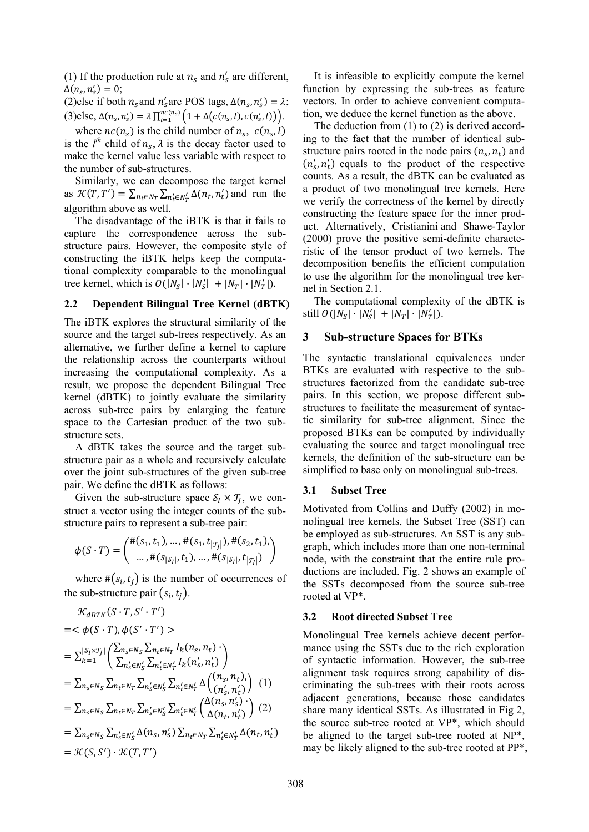(1) If the production rule at  $n_s$  and  $n'_s$  are different,  $\Delta(n_s, n_s') = 0;$ 

(2)else if both  $n_s$  and  $n'_s$  are POS tags,  $\Delta(n_s, n'_s) = \lambda$ ;  $(3)$ else,  $\Delta(n_s, n'_s) = \lambda \prod_{l=1}^{n_c(n_s)} \left(1 + \Delta(c(n_s, l), c(n'_s, l))\right).$ 

where  $nc(n_s)$  is the child number of  $n_s$ ,  $c(n_s, l)$ is the  $l^{th}$  child of  $n_s$ ,  $\lambda$  is the decay factor used to make the kernel value less variable with respect to the number of sub-structures.

Similarly, we can decompose the target kernel as  $\mathcal{K}(T, T') = \sum_{n_t \in N_T} \sum_{n'_t \in N'_T} \Delta(n_t, n'_t)$  and run the algorithm above as well.

The disadvantage of the iBTK is that it fails to capture the correspondence across the substructure pairs. However, the composite style of constructing the iBTK helps keep the computational complexity comparable to the monolingual tree kernel, which is  $O(|N_S| \cdot |N_S'| + |N_T| \cdot |N_T'|)$ .

#### **2.2 Dependent Bilingual Tree Kernel (dBTK)**

The iBTK explores the structural similarity of the source and the target sub-trees respectively. As an alternative, we further define a kernel to capture the relationship across the counterparts without increasing the computational complexity. As a result, we propose the dependent Bilingual Tree kernel (dBTK) to jointly evaluate the similarity across sub-tree pairs by enlarging the feature space to the Cartesian product of the two substructure sets.

A dBTK takes the source and the target substructure pair as a whole and recursively calculate over the joint sub-structures of the given sub-tree pair. We define the dBTK as follows:

Given the sub-structure space  $S_l \times T_l$ , we construct a vector using the integer counts of the substructure pairs to represent a sub-tree pair:

$$
\phi(S \cdot T) = { \begin{pmatrix} \#(s_1, t_1), \dots, \#(s_1, t_{|\mathcal{T}_j|}), \#(s_2, t_1), \\ \dots, \#(s_{|\mathcal{S}_l|}, t_1), \dots, \#(s_{|\mathcal{S}_l|}, t_{|\mathcal{T}_j|}) \end{pmatrix}}
$$

where  $\#(s_i, t_j)$  is the number of occurrences of the sub-structure pair  $(s_i, t_i)$ .

$$
\mathcal{K}_{dBTK}(S \cdot T, S' \cdot T')
$$
\n=<  $\phi(S \cdot T), \phi(S' \cdot T') >$   
\n= $\sum_{k=1}^{|\mathcal{S}_I \times \mathcal{J}_J|} \left( \frac{\sum_{n_s \in N_S} \sum_{n_t \in N_T} I_k(n_s, n_t)}{\sum_{n_s' \in N_S'} \sum_{n_t' \in N_T'} I_k(n_s', n_t')} \right)$   
\n= $\sum_{n_s \in N_S} \sum_{n_t \in N_T} \sum_{n_s' \in N_S'} \sum_{n_t' \in N_T'} \Delta \left( \frac{(n_s, n_t)}{(n_s', n_t')} \right) (1)$   
\n= $\sum_{n_s \in N_S} \sum_{n_t \in N_T} \sum_{n_s' \in N_S'} \sum_{n_t' \in N_T'} \left( \frac{\Delta(n_s, n_s')}{\Delta(n_t, n_t')} \right) (2)$   
\n= $\sum_{n_s \in N_S} \sum_{n_s' \in N_S'} \Delta(n_s, n_s') \sum_{n_t \in N_T} \sum_{n_t' \in N_T'} \Delta(n_t, n_t')$   
\n= $\mathcal{K}(S, S') \cdot \mathcal{K}(T, T')$ 

It is infeasible to explicitly compute the kernel function by expressing the sub-trees as feature vectors. In order to achieve convenient computation, we deduce the kernel function as the above.

The deduction from (1) to (2) is derived according to the fact that the number of identical substructure pairs rooted in the node pairs  $(n_s, n_t)$  and  $(n'_s, n'_t)$  equals to the product of the respective counts. As a result, the dBTK can be evaluated as a product of two monolingual tree kernels. Here we verify the correctness of the kernel by directly constructing the feature space for the inner product. Alternatively, Cristianini and Shawe-Taylor (2000) prove the positive semi-definite characteristic of the tensor product of two kernels. The decomposition benefits the efficient computation to use the algorithm for the monolingual tree kernel in Section 2.1.

The computational complexity of the dBTK is still  $O(|N_s| \cdot |N'_s| + |N_T| \cdot |N'_T|)$ .

#### **3 Sub-structure Spaces for BTKs**

The syntactic translational equivalences under BTKs are evaluated with respective to the substructures factorized from the candidate sub-tree pairs. In this section, we propose different substructures to facilitate the measurement of syntactic similarity for sub-tree alignment. Since the proposed BTKs can be computed by individually evaluating the source and target monolingual tree kernels, the definition of the sub-structure can be simplified to base only on monolingual sub-trees.

#### **3.1 Subset Tree**

Motivated from Collins and Duffy (2002) in monolingual tree kernels, the Subset Tree (SST) can be employed as sub-structures. An SST is any subgraph, which includes more than one non-terminal node, with the constraint that the entire rule productions are included. Fig. 2 shows an example of the SSTs decomposed from the source sub-tree rooted at VP\*.

#### **3.2 Root directed Subset Tree**

Monolingual Tree kernels achieve decent performance using the SSTs due to the rich exploration of syntactic information. However, the sub-tree alignment task requires strong capability of discriminating the sub-trees with their roots across adjacent generations, because those candidates share many identical SSTs. As illustrated in Fig 2, the source sub-tree rooted at VP\*, which should be aligned to the target sub-tree rooted at NP\*, may be likely aligned to the sub-tree rooted at PP\*,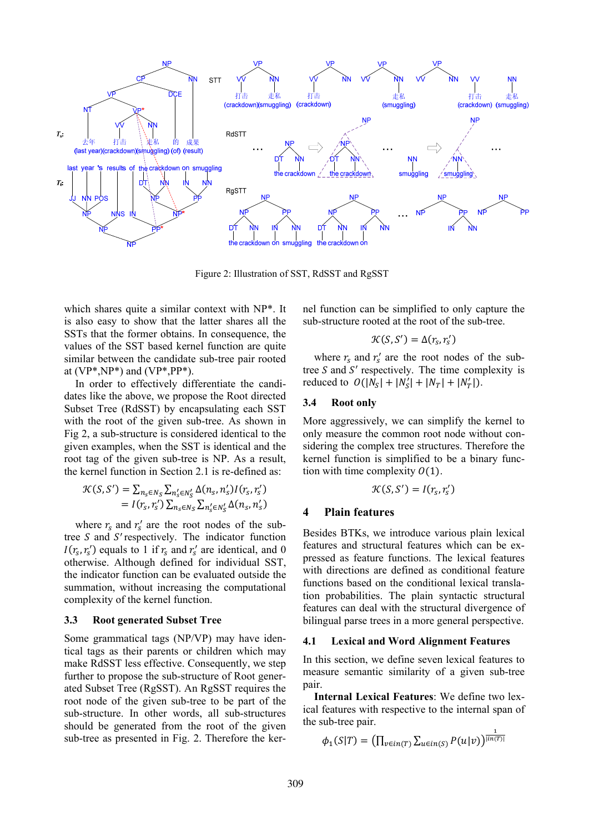

Figure 2: Illustration of SST, RdSST and RgSST

which shares quite a similar context with NP\*. It is also easy to show that the latter shares all the SSTs that the former obtains. In consequence, the values of the SST based kernel function are quite similar between the candidate sub-tree pair rooted at  $(VP^*, NP^*)$  and  $(VP^*, PP^*)$ .

In order to effectively differentiate the candidates like the above, we propose the Root directed Subset Tree (RdSST) by encapsulating each SST with the root of the given sub-tree. As shown in Fig 2, a sub-structure is considered identical to the given examples, when the SST is identical and the root tag of the given sub-tree is NP. As a result, the kernel function in Section 2.1 is re-defined as:

$$
\mathcal{K}(S, S') = \sum_{n_S \in N_S} \sum_{n'_S \in N'_S} \Delta(n_S, n'_S) I(r_S, r'_S)
$$
  
=  $I(r_S, r'_S) \sum_{n_S \in N_S} \sum_{n'_S \in N'_S} \Delta(n_S, n'_S)$ 

where  $r_s$  and  $r'_s$  are the root nodes of the subtree  $S$  and  $S'$  respectively. The indicator function  $I(r<sub>s</sub>, r<sub>s</sub>')$  equals to 1 if  $r<sub>s</sub>$  and  $r<sub>s</sub>'$  are identical, and 0 otherwise. Although defined for individual SST, the indicator function can be evaluated outside the summation, without increasing the computational complexity of the kernel function.

#### **3.3 Root generated Subset Tree**

Some grammatical tags (NP/VP) may have identical tags as their parents or children which may make RdSST less effective. Consequently, we step further to propose the sub-structure of Root generated Subset Tree (RgSST). An RgSST requires the root node of the given sub-tree to be part of the sub-structure. In other words, all sub-structures should be generated from the root of the given sub-tree as presented in Fig. 2. Therefore the kernel function can be simplified to only capture the sub-structure rooted at the root of the sub-tree.

$$
\mathcal{K}(S,S')=\Delta(r_{\!S},r'_{\!S})
$$

where  $r_s$  and  $r'_s$  are the root nodes of the subtree  $S$  and  $S'$  respectively. The time complexity is reduced to  $O(|N_S| + |N'_S| + |N_T| + |N'_T|)$ .

#### **3.4 Root only**

More aggressively, we can simplify the kernel to only measure the common root node without considering the complex tree structures. Therefore the kernel function is simplified to be a binary function with time complexity  $O(1)$ .

$$
\mathcal{K}(S,S')=I(r_s,r_s')
$$

### **4 Plain features**

Besides BTKs, we introduce various plain lexical features and structural features which can be expressed as feature functions. The lexical features with directions are defined as conditional feature functions based on the conditional lexical translation probabilities. The plain syntactic structural features can deal with the structural divergence of bilingual parse trees in a more general perspective.

#### **4.1 Lexical and Word Alignment Features**

In this section, we define seven lexical features to measure semantic similarity of a given sub-tree pair.

**Internal Lexical Features**: We define two lexical features with respective to the internal span of the sub-tree pair. భ

$$
\phi_1(S|T) = \left(\prod_{v \in in(T)} \sum_{u \in in(S)} P(u|v)\right)^{\frac{1}{\left|\ln(T)\right|}}
$$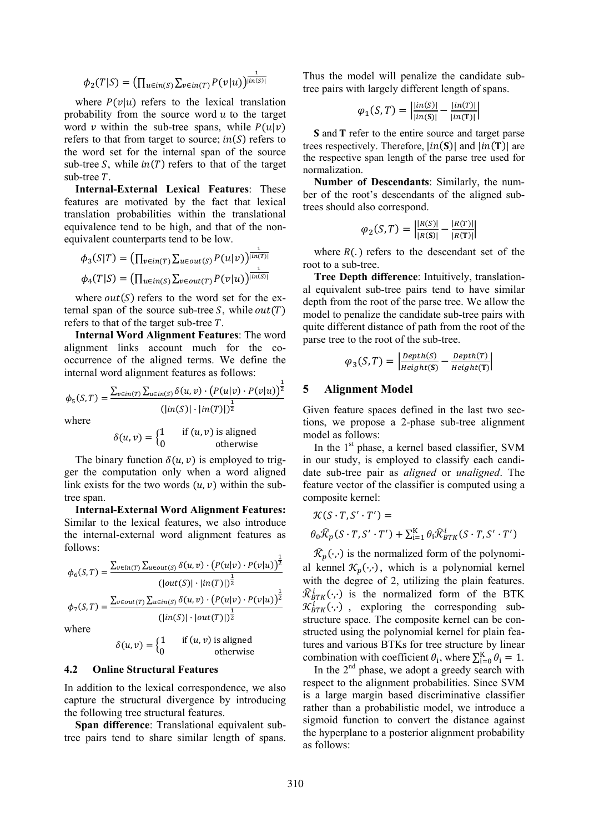$$
\phi_2(T|S) = \left(\prod_{u \in in(S)} \sum_{v \in in(T)} P(v|u)\right)^{\frac{1}{\vert in(S) \vert}}
$$

where  $P(v|u)$  refers to the lexical translation probability from the source word  $u$  to the target word  $\nu$  within the sub-tree spans, while  $P(u|\nu)$ refers to that from target to source;  $in(S)$  refers to the word set for the internal span of the source sub-tree  $S$ , while  $in(T)$  refers to that of the target sub-tree  $T$ .

**Internal-External Lexical Features**: These features are motivated by the fact that lexical translation probabilities within the translational equivalence tend to be high, and that of the nonequivalent counterparts tend to be low.

$$
\phi_3(S|T) = \left(\prod_{v \in in(T)} \sum_{u \in out(S)} P(u|v)\right)^{\frac{1}{\lfloor in(T) \rfloor}}
$$

$$
\phi_4(T|S) = \left(\prod_{u \in in(S)} \sum_{v \in out(T)} P(v|u)\right)^{\frac{1}{\lfloor in(S) \rfloor}}
$$

where  $out(S)$  refers to the word set for the external span of the source sub-tree  $S$ , while  $out(T)$ refers to that of the target sub-tree  $T$ .

**Internal Word Alignment Features**: The word alignment links account much for the cooccurrence of the aligned terms. We define the internal word alignment features as follows:

$$
\phi_5(S,T) = \frac{\sum_{v \in in(T)} \sum_{u \in in(S)} \delta(u,v) \cdot (P(u|v) \cdot P(v|u))^{\frac{1}{2}}}{(\vert in(S) \vert \cdot \vert in(T) \vert)^{\frac{1}{2}}}
$$

where

$$
\delta(u, v) = \begin{cases} 1 & \text{if } (u, v) \text{ is aligned} \\ 0 & \text{otherwise} \end{cases}
$$

The binary function  $\delta(u, v)$  is employed to trigger the computation only when a word aligned link exists for the two words  $(u, v)$  within the subtree span.

**Internal-External Word Alignment Features:** Similar to the lexical features, we also introduce the internal-external word alignment features as follows:

$$
\phi_6(S,T) = \frac{\sum_{v \in in(T)} \sum_{u \in out(S)} \delta(u,v) \cdot (P(u|v) \cdot P(v|u))^{\frac{1}{2}}}{\left(|out(S)| \cdot |in(T)|\right)^{\frac{1}{2}}}
$$
\n
$$
\phi_7(S,T) = \frac{\sum_{v \in out(T)} \sum_{u \in in(S)} \delta(u,v) \cdot (P(u|v) \cdot P(v|u))^{\frac{1}{2}}}{\left(|in(S)| \cdot |out(T)|\right)^{\frac{1}{2}}}
$$
\nwhere

$$
\delta(u, v) = \begin{cases} 1 & \text{if } (u, v) \text{ is aligned} \\ 0 & \text{otherwise} \end{cases}
$$

### **4.2 Online Structural Features**

In addition to the lexical correspondence, we also capture the structural divergence by introducing the following tree structural features.

**Span difference**: Translational equivalent subtree pairs tend to share similar length of spans.

Thus the model will penalize the candidate subtree pairs with largely different length of spans.

$$
\varphi_1(S,T) = \left| \frac{|in(S)|}{|in(S)|} - \frac{|in(T)|}{|in(T)|} \right|
$$

**S** and **T** refer to the entire source and target parse trees respectively. Therefore,  $|in(S)|$  and  $|in(T)|$  are the respective span length of the parse tree used for normalization.

**Number of Descendants**: Similarly, the number of the root's descendants of the aligned subtrees should also correspond.

$$
\varphi_2(S,T) = \left| \frac{|R(S)|}{|R(S)|} - \frac{|R(T)|}{|R(T)|} \right|
$$

where  $R(.)$  refers to the descendant set of the root to a sub-tree.

**Tree Depth difference**: Intuitively, translational equivalent sub-tree pairs tend to have similar depth from the root of the parse tree. We allow the model to penalize the candidate sub-tree pairs with quite different distance of path from the root of the parse tree to the root of the sub-tree.

$$
\varphi_3(S,T) = \left| \frac{Depth(S)}{Height(S)} - \frac{Depth(T)}{Height(T)} \right|
$$

### **5 Alignment Model**

Given feature spaces defined in the last two sections, we propose a 2-phase sub-tree alignment model as follows:

In the 1st phase, a kernel based classifier, SVM in our study, is employed to classify each candidate sub-tree pair as *aligned* or *unaligned*. The feature vector of the classifier is computed using a composite kernel:

$$
\mathcal{K}(S \cdot T, S' \cdot T') =
$$
  

$$
\theta_0 \widehat{\mathcal{K}}_p(S \cdot T, S' \cdot T') + \sum_{i=1}^K \theta_i \widehat{\mathcal{K}}_{BTK}^i(S \cdot T, S' \cdot T')
$$

 $\mathcal{R}_p(\cdot,\cdot)$  is the normalized form of the polynomial kennel  $\mathcal{K}_n(\cdot,\cdot)$ , which is a polynomial kernel with the degree of 2, utilizing the plain features.  $\widehat{\mathcal{R}}_{BTK}^i(\cdot,\cdot)$  is the normalized form of the BTK  $\mathcal{K}_{BTK}^i(\cdot;\cdot)$ , exploring the corresponding substructure space. The composite kernel can be constructed using the polynomial kernel for plain features and various BTKs for tree structure by linear combination with coefficient  $\theta_i$ , where  $\sum_{i=0}^{K} \theta_i = 1$ .

In the  $2<sup>nd</sup>$  phase, we adopt a greedy search with respect to the alignment probabilities. Since SVM is a large margin based discriminative classifier rather than a probabilistic model, we introduce a sigmoid function to convert the distance against the hyperplane to a posterior alignment probability as follows: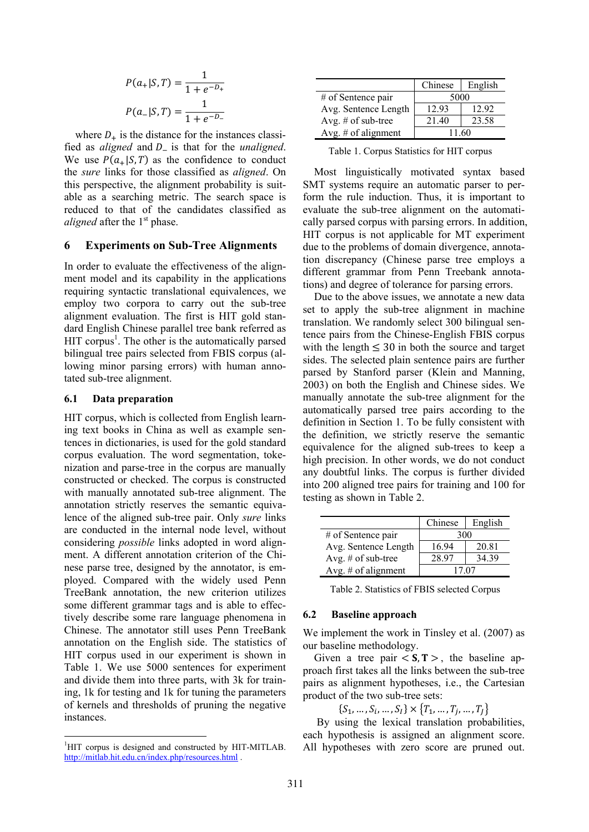$$
P(a_+|S,T) = \frac{1}{1 + e^{-D_+}}
$$

$$
P(a_-|S,T) = \frac{1}{1 + e^{-D_-}}
$$

where  $D_{+}$  is the distance for the instances classified as *aligned* and  $D_{-}$  is that for the *unaligned*. We use  $P(a_{+}|S,T)$  as the confidence to conduct the *sure* links for those classified as *aligned*. On this perspective, the alignment probability is suitable as a searching metric. The search space is reduced to that of the candidates classified as *aligned* after the 1<sup>st</sup> phase.

#### **6 Experiments on Sub-Tree Alignments**

In order to evaluate the effectiveness of the alignment model and its capability in the applications requiring syntactic translational equivalences, we employ two corpora to carry out the sub-tree alignment evaluation. The first is HIT gold standard English Chinese parallel tree bank referred as HIT corpus<sup>1</sup>. The other is the automatically parsed bilingual tree pairs selected from FBIS corpus (allowing minor parsing errors) with human annotated sub-tree alignment.

#### **6.1 Data preparation**

HIT corpus, which is collected from English learning text books in China as well as example sentences in dictionaries, is used for the gold standard corpus evaluation. The word segmentation, tokenization and parse-tree in the corpus are manually constructed or checked. The corpus is constructed with manually annotated sub-tree alignment. The annotation strictly reserves the semantic equivalence of the aligned sub-tree pair. Only *sure* links are conducted in the internal node level, without considering *possible* links adopted in word alignment. A different annotation criterion of the Chinese parse tree, designed by the annotator, is employed. Compared with the widely used Penn TreeBank annotation, the new criterion utilizes some different grammar tags and is able to effectively describe some rare language phenomena in Chinese. The annotator still uses Penn TreeBank annotation on the English side. The statistics of HIT corpus used in our experiment is shown in Table 1. We use 5000 sentences for experiment and divide them into three parts, with 3k for training, 1k for testing and 1k for tuning the parameters of kernels and thresholds of pruning the negative instances.

|                       | Chinese | English |
|-----------------------|---------|---------|
| # of Sentence pair    | 5000    |         |
| Avg. Sentence Length  | 12.93   | 12.92   |
| Avg. $#$ of sub-tree  | 21 40   | 23.58   |
| Avg. $#$ of alignment | 11 60   |         |

Table 1. Corpus Statistics for HIT corpus

Most linguistically motivated syntax based SMT systems require an automatic parser to perform the rule induction. Thus, it is important to evaluate the sub-tree alignment on the automatically parsed corpus with parsing errors. In addition, HIT corpus is not applicable for MT experiment due to the problems of domain divergence, annotation discrepancy (Chinese parse tree employs a different grammar from Penn Treebank annotations) and degree of tolerance for parsing errors.

Due to the above issues, we annotate a new data set to apply the sub-tree alignment in machine translation. We randomly select 300 bilingual sentence pairs from the Chinese-English FBIS corpus with the length  $\leq$  30 in both the source and target sides. The selected plain sentence pairs are further parsed by Stanford parser (Klein and Manning, 2003) on both the English and Chinese sides. We manually annotate the sub-tree alignment for the automatically parsed tree pairs according to the definition in Section 1. To be fully consistent with the definition, we strictly reserve the semantic equivalence for the aligned sub-trees to keep a high precision. In other words, we do not conduct any doubtful links. The corpus is further divided into 200 aligned tree pairs for training and 100 for testing as shown in Table 2.

|                      | Chinese | English |
|----------------------|---------|---------|
| # of Sentence pair   | 300     |         |
| Avg. Sentence Length | 16.94   | 20.81   |
| Avg. $#$ of sub-tree | 28.97   | 34 39   |
| Avg. # of alignment  | 17.07   |         |

Table 2. Statistics of FBIS selected Corpus

#### **6.2 Baseline approach**

We implement the work in Tinsley et al. (2007) as our baseline methodology.

Given a tree pair  $\langle S, T \rangle$ , the baseline approach first takes all the links between the sub-tree pairs as alignment hypotheses, i.e., the Cartesian product of the two sub-tree sets:

 $\{S_1, ..., S_i, ..., S_l\} \times \{T_1, ..., T_i, ..., T_l\}$ 

 By using the lexical translation probabilities, each hypothesis is assigned an alignment score. All hypotheses with zero score are pruned out.

<sup>&</sup>lt;sup>1</sup>HIT corpus is designed and constructed by HIT-MITLAB. http://mitlab.hit.edu.cn/index.php/resources.html .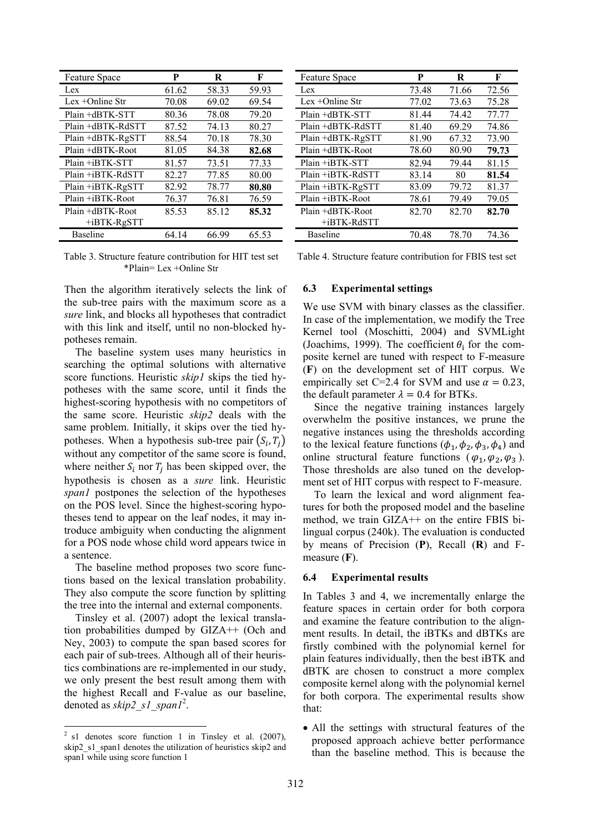| <b>Feature Space</b> | P     | R     | F     |
|----------------------|-------|-------|-------|
| Lex                  | 61.62 | 58.33 | 59.93 |
| Lex $+$ Online Str   | 70.08 | 69.02 | 69.54 |
| Plain +dBTK-STT      | 80.36 | 78.08 | 79.20 |
| Plain +dBTK-RdSTT    | 87.52 | 74.13 | 80.27 |
| Plain +dBTK-RgSTT    | 88.54 | 70.18 | 78.30 |
| Plain +dBTK-Root     | 81.05 | 84.38 | 82.68 |
| Plain +iBTK-STT      | 81.57 | 73.51 | 77.33 |
| Plain +iBTK-RdSTT    | 82.27 | 77.85 | 80.00 |
| Plain +iBTK-RgSTT    | 82.92 | 78.77 | 80.80 |
| Plain +iBTK-Root     | 76.37 | 76.81 | 76.59 |
| Plain +dBTK-Root     | 85.53 | 85.12 | 85.32 |
| $+iBTK-RgSTT$        |       |       |       |
| Baseline             | 64.14 | 66.99 | 65.53 |

Table 3. Structure feature contribution for HIT test set \*Plain= Lex +Online Str

Then the algorithm iteratively selects the link of the sub-tree pairs with the maximum score as a *sure* link, and blocks all hypotheses that contradict with this link and itself, until no non-blocked hypotheses remain.

The baseline system uses many heuristics in searching the optimal solutions with alternative score functions. Heuristic *skip1* skips the tied hypotheses with the same score, until it finds the highest-scoring hypothesis with no competitors of the same score. Heuristic *skip2* deals with the same problem. Initially, it skips over the tied hypotheses. When a hypothesis sub-tree pair  $(S_i, T_i)$ without any competitor of the same score is found, where neither  $S_i$  nor  $T_i$  has been skipped over, the hypothesis is chosen as a *sure* link. Heuristic *span1* postpones the selection of the hypotheses on the POS level. Since the highest-scoring hypotheses tend to appear on the leaf nodes, it may introduce ambiguity when conducting the alignment for a POS node whose child word appears twice in a sentence.

The baseline method proposes two score functions based on the lexical translation probability. They also compute the score function by splitting the tree into the internal and external components.

Tinsley et al. (2007) adopt the lexical translation probabilities dumped by GIZA++ (Och and Ney, 2003) to compute the span based scores for each pair of sub-trees. Although all of their heuristics combinations are re-implemented in our study, we only present the best result among them with the highest Recall and F-value as our baseline, denoted as *skip2\_s1\_span1*<sup>2</sup> .

| <b>Feature Space</b> | P     | R     | F     |
|----------------------|-------|-------|-------|
| Lex                  | 73.48 | 71.66 | 72.56 |
| Lex $+$ Online Str   | 77.02 | 73.63 | 75.28 |
| Plain +dBTK-STT      | 81.44 | 74.42 | 77.77 |
| Plain +dBTK-RdSTT    | 81.40 | 69.29 | 74.86 |
| Plain +dBTK-RgSTT    | 81.90 | 67.32 | 73.90 |
| Plain +dBTK-Root     | 78.60 | 80.90 | 79.73 |
| Plain +iBTK-STT      | 82.94 | 79.44 | 81.15 |
| Plain +iBTK-RdSTT    | 83.14 | 80    | 81.54 |
| Plain +iBTK-RgSTT    | 83.09 | 79.72 | 81.37 |
| Plain +iBTK-Root     | 78.61 | 79.49 | 79.05 |
| Plain +dBTK-Root     | 82.70 | 82.70 | 82.70 |
| +iBTK-RdSTT          |       |       |       |
| Baseline             | 70.48 | 78.70 | 74.36 |

Table 4. Structure feature contribution for FBIS test set

#### **6.3 Experimental settings**

We use SVM with binary classes as the classifier. In case of the implementation, we modify the Tree Kernel tool (Moschitti, 2004) and SVMLight (Joachims, 1999). The coefficient  $\theta_i$  for the composite kernel are tuned with respect to F-measure (**F**) on the development set of HIT corpus. We empirically set C=2.4 for SVM and use  $\alpha = 0.23$ , the default parameter  $\lambda = 0.4$  for BTKs.

Since the negative training instances largely overwhelm the positive instances, we prune the negative instances using the thresholds according to the lexical feature functions  $(\phi_1, \phi_2, \phi_3, \phi_4)$  and online structural feature functions ( $\varphi_1$ ,  $\varphi_2$ ,  $\varphi_3$ ). Those thresholds are also tuned on the development set of HIT corpus with respect to F-measure.

To learn the lexical and word alignment features for both the proposed model and the baseline method, we train GIZA++ on the entire FBIS bilingual corpus (240k). The evaluation is conducted by means of Precision (**P**), Recall (**R**) and Fmeasure (**F**).

#### **6.4 Experimental results**

In Tables 3 and 4, we incrementally enlarge the feature spaces in certain order for both corpora and examine the feature contribution to the alignment results. In detail, the iBTKs and dBTKs are firstly combined with the polynomial kernel for plain features individually, then the best iBTK and dBTK are chosen to construct a more complex composite kernel along with the polynomial kernel for both corpora. The experimental results show that:

• All the settings with structural features of the proposed approach achieve better performance than the baseline method. This is because the

 $2$  s1 denotes score function 1 in Tinsley et al. (2007), skip2\_s1\_span1 denotes the utilization of heuristics skip2 and span1 while using score function 1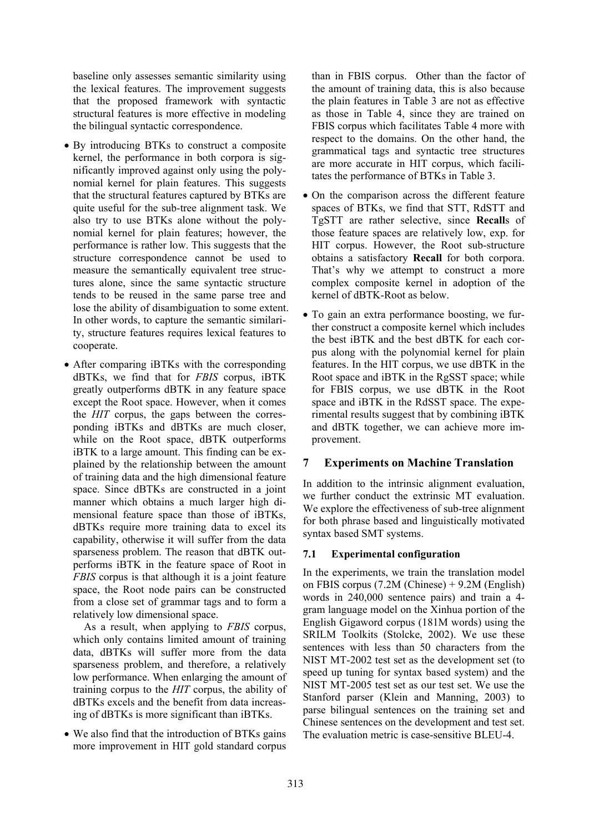baseline only assesses semantic similarity using the lexical features. The improvement suggests that the proposed framework with syntactic structural features is more effective in modeling the bilingual syntactic correspondence.

- By introducing BTKs to construct a composite kernel, the performance in both corpora is significantly improved against only using the polynomial kernel for plain features. This suggests that the structural features captured by BTKs are quite useful for the sub-tree alignment task. We also try to use BTKs alone without the polynomial kernel for plain features; however, the performance is rather low. This suggests that the structure correspondence cannot be used to measure the semantically equivalent tree structures alone, since the same syntactic structure tends to be reused in the same parse tree and lose the ability of disambiguation to some extent. In other words, to capture the semantic similarity, structure features requires lexical features to cooperate.
- After comparing iBTKs with the corresponding dBTKs, we find that for *FBIS* corpus, iBTK greatly outperforms dBTK in any feature space except the Root space. However, when it comes the *HIT* corpus, the gaps between the corresponding iBTKs and dBTKs are much closer, while on the Root space, dBTK outperforms iBTK to a large amount. This finding can be explained by the relationship between the amount of training data and the high dimensional feature space. Since dBTKs are constructed in a joint manner which obtains a much larger high dimensional feature space than those of iBTKs, dBTKs require more training data to excel its capability, otherwise it will suffer from the data sparseness problem. The reason that dBTK outperforms iBTK in the feature space of Root in *FBIS* corpus is that although it is a joint feature space, the Root node pairs can be constructed from a close set of grammar tags and to form a relatively low dimensional space.

 As a result, when applying to *FBIS* corpus, which only contains limited amount of training data, dBTKs will suffer more from the data sparseness problem, and therefore, a relatively low performance. When enlarging the amount of training corpus to the *HIT* corpus, the ability of dBTKs excels and the benefit from data increasing of dBTKs is more significant than iBTKs.

• We also find that the introduction of BTKs gains more improvement in HIT gold standard corpus

than in FBIS corpus. Other than the factor of the amount of training data, this is also because the plain features in Table 3 are not as effective as those in Table 4, since they are trained on FBIS corpus which facilitates Table 4 more with respect to the domains. On the other hand, the grammatical tags and syntactic tree structures are more accurate in HIT corpus, which facilitates the performance of BTKs in Table 3.

- On the comparison across the different feature spaces of BTKs, we find that STT, RdSTT and TgSTT are rather selective, since **Recall**s of those feature spaces are relatively low, exp. for HIT corpus. However, the Root sub-structure obtains a satisfactory **Recall** for both corpora. That's why we attempt to construct a more complex composite kernel in adoption of the kernel of dBTK-Root as below.
- To gain an extra performance boosting, we further construct a composite kernel which includes the best iBTK and the best dBTK for each corpus along with the polynomial kernel for plain features. In the HIT corpus, we use dBTK in the Root space and iBTK in the RgSST space; while for FBIS corpus, we use dBTK in the Root space and iBTK in the RdSST space. The experimental results suggest that by combining iBTK and dBTK together, we can achieve more improvement.

# **7 Experiments on Machine Translation**

In addition to the intrinsic alignment evaluation, we further conduct the extrinsic MT evaluation. We explore the effectiveness of sub-tree alignment for both phrase based and linguistically motivated syntax based SMT systems.

# **7.1 Experimental configuration**

In the experiments, we train the translation model on FBIS corpus (7.2M (Chinese) + 9.2M (English) words in 240,000 sentence pairs) and train a 4 gram language model on the Xinhua portion of the English Gigaword corpus (181M words) using the SRILM Toolkits (Stolcke, 2002). We use these sentences with less than 50 characters from the NIST MT-2002 test set as the development set (to speed up tuning for syntax based system) and the NIST MT-2005 test set as our test set. We use the Stanford parser (Klein and Manning, 2003) to parse bilingual sentences on the training set and Chinese sentences on the development and test set. The evaluation metric is case-sensitive BLEU-4.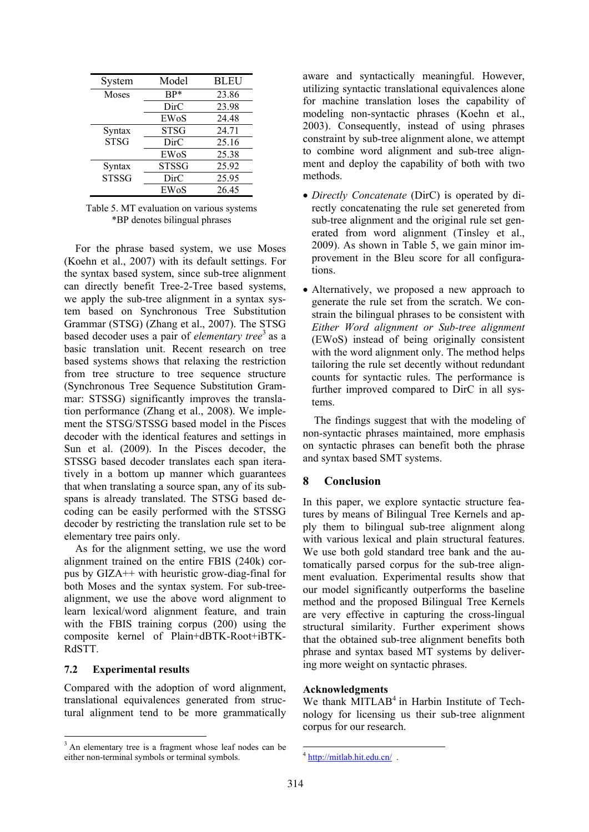| System       | Model        | <b>BLEU</b> |
|--------------|--------------|-------------|
| Moses        | $BP*$        | 23.86       |
|              | DirC         | 23.98       |
|              | EWoS         | 24.48       |
| Syntax       | <b>STSG</b>  | 24.71       |
| <b>STSG</b>  | DirC         | 25.16       |
|              | EWoS         | 25.38       |
| Syntax       | <b>STSSG</b> | 25.92       |
| <b>STSSG</b> | DirC         | 25.95       |
|              | EWoS         | 26.45       |

Table 5. MT evaluation on various systems \*BP denotes bilingual phrases

For the phrase based system, we use Moses (Koehn et al., 2007) with its default settings. For the syntax based system, since sub-tree alignment can directly benefit Tree-2-Tree based systems, we apply the sub-tree alignment in a syntax system based on Synchronous Tree Substitution Grammar (STSG) (Zhang et al., 2007). The STSG based decoder uses a pair of *elementary tree*<sup>3</sup> as a basic translation unit. Recent research on tree based systems shows that relaxing the restriction from tree structure to tree sequence structure (Synchronous Tree Sequence Substitution Grammar: STSSG) significantly improves the translation performance (Zhang et al., 2008). We implement the STSG/STSSG based model in the Pisces decoder with the identical features and settings in Sun et al. (2009). In the Pisces decoder, the STSSG based decoder translates each span iteratively in a bottom up manner which guarantees that when translating a source span, any of its subspans is already translated. The STSG based decoding can be easily performed with the STSSG decoder by restricting the translation rule set to be elementary tree pairs only.

As for the alignment setting, we use the word alignment trained on the entire FBIS (240k) corpus by GIZA++ with heuristic grow-diag-final for both Moses and the syntax system. For sub-treealignment, we use the above word alignment to learn lexical/word alignment feature, and train with the FBIS training corpus (200) using the composite kernel of Plain+dBTK-Root+iBTK-RdSTT.

### **7.2 Experimental results**

Compared with the adoption of word alignment, translational equivalences generated from structural alignment tend to be more grammatically aware and syntactically meaningful. However, utilizing syntactic translational equivalences alone for machine translation loses the capability of modeling non-syntactic phrases (Koehn et al., 2003). Consequently, instead of using phrases constraint by sub-tree alignment alone, we attempt to combine word alignment and sub-tree alignment and deploy the capability of both with two methods.

- *Directly Concatenate* (DirC) is operated by directly concatenating the rule set genereted from sub-tree alignment and the original rule set generated from word alignment (Tinsley et al., 2009). As shown in Table 5, we gain minor improvement in the Bleu score for all configurations.
- Alternatively, we proposed a new approach to generate the rule set from the scratch. We constrain the bilingual phrases to be consistent with *Either Word alignment or Sub-tree alignment* (EWoS) instead of being originally consistent with the word alignment only. The method helps tailoring the rule set decently without redundant counts for syntactic rules. The performance is further improved compared to DirC in all systems.

The findings suggest that with the modeling of non-syntactic phrases maintained, more emphasis on syntactic phrases can benefit both the phrase and syntax based SMT systems.

### **8 Conclusion**

In this paper, we explore syntactic structure features by means of Bilingual Tree Kernels and apply them to bilingual sub-tree alignment along with various lexical and plain structural features. We use both gold standard tree bank and the automatically parsed corpus for the sub-tree alignment evaluation. Experimental results show that our model significantly outperforms the baseline method and the proposed Bilingual Tree Kernels are very effective in capturing the cross-lingual structural similarity. Further experiment shows that the obtained sub-tree alignment benefits both phrase and syntax based MT systems by delivering more weight on syntactic phrases.

#### **Acknowledgments**

We thank MITLAB<sup>4</sup> in Harbin Institute of Technology for licensing us their sub-tree alignment corpus for our research.

<sup>&</sup>lt;sup>3</sup> An elementary tree is a fragment whose leaf nodes can be either non-terminal symbols or terminal symbols.

 $<sup>4</sup>$  http://mitlab.hit.edu.cn/.</sup>